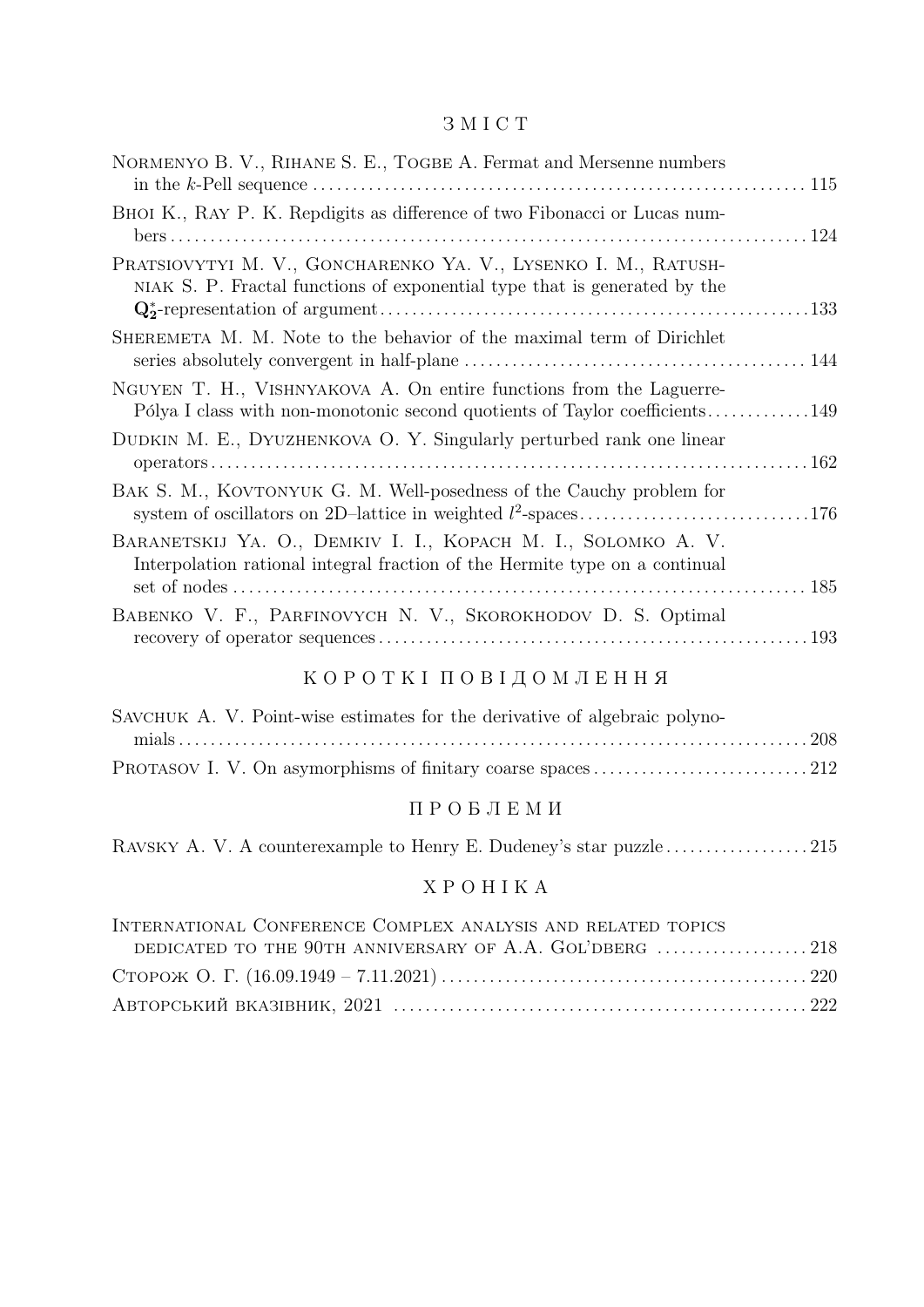#### З М I С Т

| NORMENYO B. V., RIHANE S. E., TOGBE A. Fermat and Mersenne numbers                                                                                 |  |
|----------------------------------------------------------------------------------------------------------------------------------------------------|--|
| BHOI K., RAY P. K. Repdigits as difference of two Fibonacci or Lucas num-                                                                          |  |
| PRATSIOVYTYI M. V., GONCHARENKO YA. V., LYSENKO I. M., RATUSH-<br>NIAK S. P. Fractal functions of exponential type that is generated by the        |  |
| SHEREMETA M. M. Note to the behavior of the maximal term of Dirichlet                                                                              |  |
| NGUYEN T. H., VISHNYAKOVA A. On entire functions from the Laguerre-<br>Pólya I class with non-monotonic second quotients of Taylor coefficients149 |  |
| DUDKIN M. E., DYUZHENKOVA O. Y. Singularly perturbed rank one linear                                                                               |  |
| BAK S. M., KOVTONYUK G. M. Well-posedness of the Cauchy problem for                                                                                |  |
| BARANETSKIJ YA. O., DEMKIV I. I., KOPACH M. I., SOLOMKO A. V.<br>Interpolation rational integral fraction of the Hermite type on a continual       |  |
| BABENKO V. F., PARFINOVYCH N. V., SKOROKHODOV D. S. Optimal                                                                                        |  |
| КОРОТКІ ПОВІДОМЛЕННЯ                                                                                                                               |  |
| $\alpha$ CAU $\alpha$ T $\alpha$ U $\alpha$ Desirt wise estimates for the derivative of elsewhere polyne                                           |  |

| SAVCHUK A. V. Point-wise estimates for the derivative of algebraic polyno- |  |
|----------------------------------------------------------------------------|--|
|                                                                            |  |
|                                                                            |  |

### П Р О Б Л Е М И

| RAVSKY A. V. A counterexample to Henry E. Dudeney's star puzzle215 |
|--------------------------------------------------------------------|
|--------------------------------------------------------------------|

### Х Р О Н I К А

| INTERNATIONAL CONFERENCE COMPLEX ANALYSIS AND RELATED TOPICS |  |
|--------------------------------------------------------------|--|
|                                                              |  |
|                                                              |  |
|                                                              |  |